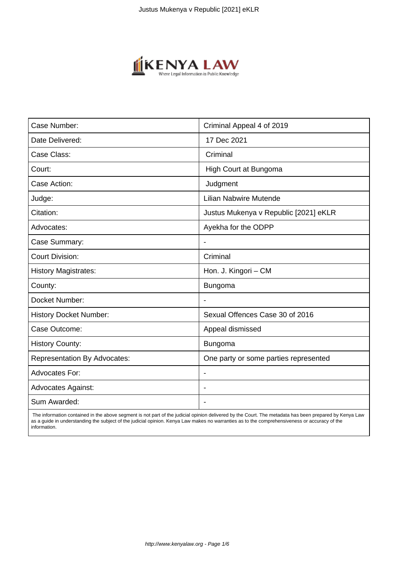

| Case Number:                        | Criminal Appeal 4 of 2019             |
|-------------------------------------|---------------------------------------|
| Date Delivered:                     | 17 Dec 2021                           |
| Case Class:                         | Criminal                              |
| Court:                              | High Court at Bungoma                 |
| Case Action:                        | Judgment                              |
| Judge:                              | <b>Lilian Nabwire Mutende</b>         |
| Citation:                           | Justus Mukenya v Republic [2021] eKLR |
| Advocates:                          | Ayekha for the ODPP                   |
| Case Summary:                       |                                       |
| <b>Court Division:</b>              | Criminal                              |
| <b>History Magistrates:</b>         | Hon. J. Kingori - CM                  |
| County:                             | Bungoma                               |
| Docket Number:                      |                                       |
| <b>History Docket Number:</b>       | Sexual Offences Case 30 of 2016       |
| Case Outcome:                       | Appeal dismissed                      |
| <b>History County:</b>              | <b>Bungoma</b>                        |
| <b>Representation By Advocates:</b> | One party or some parties represented |
| <b>Advocates For:</b>               | $\overline{\phantom{a}}$              |
| <b>Advocates Against:</b>           |                                       |
| Sum Awarded:                        |                                       |

 The information contained in the above segment is not part of the judicial opinion delivered by the Court. The metadata has been prepared by Kenya Law as a guide in understanding the subject of the judicial opinion. Kenya Law makes no warranties as to the comprehensiveness or accuracy of the information.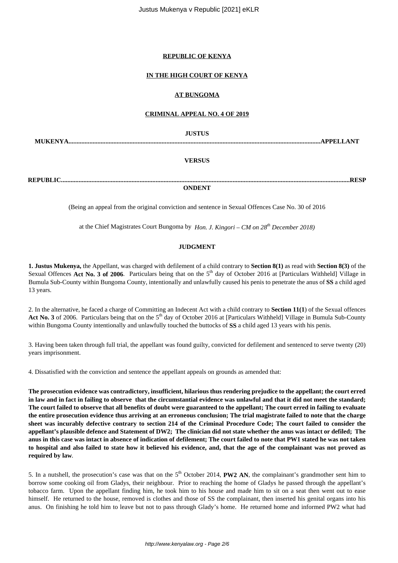## **REPUBLIC OF KENYA**

# **IN THE HIGH COURT OF KENYA**

# **AT BUNGOMA**

## **CRIMINAL APPEAL NO. 4 OF 2019**

**JUSTUS**

**MUKENYA.............................................................................................................................................................APPELLANT**

## **VERSUS**

**REPUBLIC....................................................................................................................................................................................RESP**

**ONDENT**

(Being an appeal from the original conviction and sentence in Sexual Offences Case No. 30 of 2016

at the Chief Magistrates Court Bungoma by *Hon. J. Kingori – CM on 28th December 2018)*

# **JUDGMENT**

**1. Justus Mukenya,** the Appellant, was charged with defilement of a child contrary to **Section 8(1)** as read with **Section 8(3)** of the Sexual Offences Act No. 3 of 2006. Particulars being that on the 5<sup>th</sup> day of October 2016 at [Particulars Withheld] Village in Bumula Sub-County within Bungoma County, intentionally and unlawfully caused his penis to penetrate the anus of **SS** a child aged 13 years.

2. In the alternative, he faced a charge of Committing an Indecent Act with a child contrary to **Section 11(1**) of the Sexual offences Act No. 3 of 2006. Particulars being that on the 5<sup>th</sup> day of October 2016 at [Particulars Withheld] Village in Bumula Sub-County within Bungoma County intentionally and unlawfully touched the buttocks of **SS** a child aged 13 years with his penis.

3. Having been taken through full trial, the appellant was found guilty, convicted for defilement and sentenced to serve twenty (20) years imprisonment.

4. Dissatisfied with the conviction and sentence the appellant appeals on grounds as amended that:

**The prosecution evidence was contradictory, insufficient, hilarious thus rendering prejudice to the appellant; the court erred in law and in fact in failing to observe that the circumstantial evidence was unlawful and that it did not meet the standard; The court failed to observe that all benefits of doubt were guaranteed to the appellant; The court erred in failing to evaluate the entire prosecution evidence thus arriving at an erroneous conclusion; The trial magistrate failed to note that the charge sheet was incurably defective contrary to section 214 of the Criminal Procedure Code; The court failed to consider the appellant's plausible defence and Statement of DW2; The clinician did not state whether the anus was intact or defiled; The anus in this case was intact in absence of indication of defilement; The court failed to note that PW1 stated he was not taken to hospital and also failed to state how it believed his evidence, and, that the age of the complainant was not proved as required by law***.*

5. In a nutshell, the prosecution's case was that on the 5<sup>th</sup> October 2014, **PW2 AN**, the complainant's grandmother sent him to borrow some cooking oil from Gladys, their neighbour. Prior to reaching the home of Gladys he passed through the appellant's tobacco farm. Upon the appellant finding him, he took him to his house and made him to sit on a seat then went out to ease himself. He returned to the house, removed is clothes and those of SS the complainant, then inserted his genital organs into his anus. On finishing he told him to leave but not to pass through Glady's home. He returned home and informed PW2 what had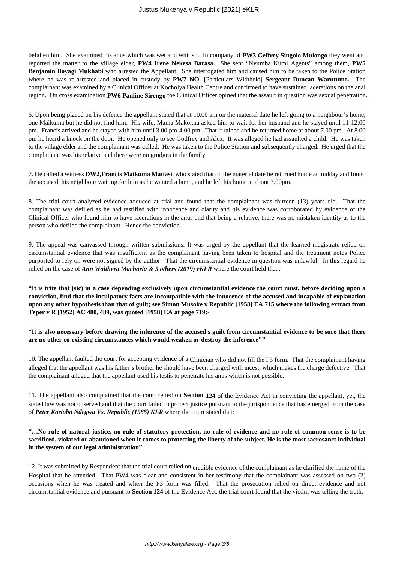befallen him. She examined his anus which was wet and whitish. In company of **PW3 Geffrey Singolo Mulongo** they went and reported the matter to the village elder, **PW4 Irene Nekesa Barasa.** She sent "Nyumba Kumi Agents" among them, **PW5 Benjamin Boyagi Mukhabi** who arrested the Appellant. She interrogated him and caused him to be taken to the Police Station where he was re-arrested and placed in custody by **PW7 NO.** [Particulars Withheld] **Sergeant Duncan Warutumo.** The complainant was examined by a Clinical Officer at Kocholya Health Centre and confirmed to have sustained lacerations on the anal region. On cross examination **PW6 Pauline Sirengo** the Clinical Officer opined that the assault in question was sexual penetration.

6. Upon being placed on his defence the appellant stated that at 10.00 am on the material date he left going to a neighbour's home, one Maikuma but he did not find him. His wife, Mama Makokha asked him to wait for her husband and he stayed until 11-12:00 pm. Francis arrived and he stayed with him until 3.00 pm-4.00 pm. That it rained and he returned home at about 7.00 pm. At 8.00 pm he heard a knock on the door. He opened only to see Godfrey and Alex. It was alleged he had assaulted a child. He was taken to the village elder and the complainant was called. He was taken to the Police Station and subsequently charged. He urged that the complainant was his relative and there were no grudges in the family.

7. He called a witness **DW2,Francis Maikuma Matiasi**, who stated that on the material date he returned home at midday and found the accused, his neighbour waiting for him as he wanted a lamp, and he left his home at about 3.00pm.

8. The trial court analyzed evidence adduced at trial and found that the complainant was thirteen (13) years old. That the complainant was defiled as he had testified with innocence and clarity and his evidence was corroborated by evidence of the Clinical Officer who found him to have lacerations in the anus and that being a relative, there was no mistaken identity as to the person who defiled the complainant. Hence the conviction.

9. The appeal was canvassed through written submissions. It was urged by the appellant that the learned magistrate relied on circumstantial evidence that was insufficient as the complainant having been taken to hospital and the treatment notes Police purported to rely on were not signed by the author. That the circumstantial evidence in question was unlawful. In this regard he relied on the case of *Ann Waithera Macharia & 5 others (2019) eKLR* where the court held that :

**"It is trite that (sic) in a case depending exclusively upon circumstantial evidence the court must, before deciding upon a conviction, find that the inculpatory facts are incompatible with the innocence of the accused and incapable of explanation upon any other hypothesis than that of guilt; see Simon Musoke v Republic [1958] EA 715 where the following extract from Teper v R [1952] AC 480, 489, was quoted [1958] EA at page 719:-**

**"It is also necessary before drawing the inference of the accused's guilt from circumstantial evidence to be sure that there are no other co-existing circumstances which would weaken or destroy the inference""**

10. The appellant faulted the court for accepting evidence of a Clinician who did not fill the P3 form. That the complainant having alleged that the appellant was his father's brother he should have been charged with incest, which makes the charge defective. That the complainant alleged that the appellant used his testis to penetrate his anus which is not possible.

11. The appellant also complained that the court relied on **Section 124** of the Evidence Act in convicting the appellant, yet, the stated law was not observed and that the court failed to protect justice pursuant to the jurispondence that has emerged from the case of *Peter Karioba Ndegwa Vs. Republic (1985) KLR* where the court stated that:

# **"…No rule of natural justice, no rule of statutory protection, no rule of evidence and no rule of common sense is to be sacrificed, violated or abandoned when it comes to protecting the liberty of the subject. He is the most sacrosanct individual in the system of our legal administration"**

12. It was submitted by Respondent that the trial court relied on credible evidence of the complainant as he clarified the name of the Hospital that he attended. That PW4 was clear and consistent in her testimony that the complainant was assessed on two (2) occasions when he was treated and when the P3 form was filled. That the prosecution relied on direct evidence and not circumstantial evidence and pursuant to **Section 124** of the Evidence Act, the trial court found that the victim was telling the truth.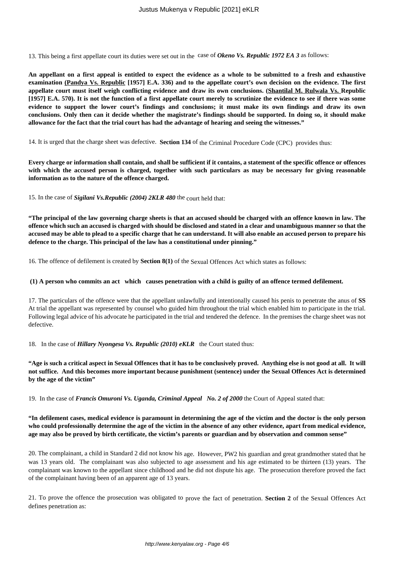13. This being a first appellate court its duties were set out in the case of *Okeno Vs. Republic 1972 EA 3* as follows:

**An appellant on a first appeal is entitled to expect the evidence as a whole to be submitted to a fresh and exhaustive examination (Pandya Vs. Republic [1957] E.A. 336) and to the appellate court's own decision on the evidence. The first appellate court must itself weigh conflicting evidence and draw its own conclusions. (Shantilal M. Rulwala Vs. Republic [1957] E.A. 570). It is not the function of a first appellate court merely to scrutinize the evidence to see if there was some evidence to support the lower court's findings and conclusions; it must make its own findings and draw its own conclusions. Only then can it decide whether the magistrate's findings should be supported. In doing so, it should make allowance for the fact that the trial court has had the advantage of hearing and seeing the witnesses."**

14. It is urged that the charge sheet was defective. **Section 134** of the Criminal Procedure Code (CPC) provides thus:

**Every charge or information shall contain, and shall be sufficient if it contains, a statement of the specific offence or offences with which the accused person is charged, together with such particulars as may be necessary for giving reasonable information as to the nature of the offence charged.**

15. In the case of *Sigilani Vs.Republic (2004) 2KLR 480* the court held that:

**"The principal of the law governing charge sheets is that an accused should be charged with an offence known in law. The offence which such an accused is charged with should be disclosed and stated in a clear and unambiguous manner so that the accused may be able to plead to a specific charge that he can understand. It will also enable an accused person to prepare his defence to the charge. This principal of the law has a constitutional under pinning."** 

16. The offence of defilement is created by **Section 8(1)** of the Sexual Offences Act which states as follows:

#### **(1) A person who commits an act which causes penetration with a child is guilty of an offence termed defilement.**

17. The particulars of the offence were that the appellant unlawfully and intentionally caused his penis to penetrate the anus of **SS** At trial the appellant was represented by counsel who guided him throughout the trial which enabled him to participate in the trial. Following legal advice of his advocate he participated in the trial and tendered the defence. In the premises the charge sheet was not defective.

18. In the case of *Hillary Nyongesa Vs. Republic (2010) eKLR* the Court stated thus:

**"Age is such a critical aspect in Sexual Offences that it has to be conclusively proved. Anything else is not good at all. It will not suffice. And this becomes more important because punishment (sentence) under the Sexual Offences Act is determined by the age of the victim"**

19. In the case of *Francis Omuroni Vs. Uganda, Criminal Appeal No. 2 of 2000* the Court of Appeal stated that:

**"In defilement cases, medical evidence is paramount in determining the age of the victim and the doctor is the only person who could professionally determine the age of the victim in the absence of any other evidence, apart from medical evidence, age may also be proved by birth certificate, the victim's parents or guardian and by observation and common sense"**

20. The complainant, a child in Standard 2 did not know his age. However, PW2 his guardian and great grandmother stated that he was 13 years old. The complainant was also subjected to age assessment and his age estimated to be thirteen (13) years. The complainant was known to the appellant since childhood and he did not dispute his age. The prosecution therefore proved the fact of the complainant having been of an apparent age of 13 years.

21. To prove the offence the prosecution was obligated to prove the fact of penetration. **Section 2** of the Sexual Offences Act defines penetration as: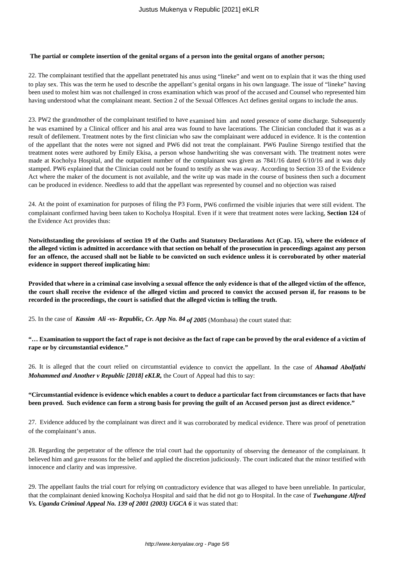#### **The partial or complete insertion of the genital organs of a person into the genital organs of another person;**

22. The complainant testified that the appellant penetrated his anus using "lineke" and went on to explain that it was the thing used to play sex. This was the term he used to describe the appellant's genital organs in his own language. The issue of "lineke" having been used to molest him was not challenged in cross examination which was proof of the accused and Counsel who represented him having understood what the complainant meant. Section 2 of the Sexual Offences Act defines genital organs to include the anus.

23. PW2 the grandmother of the complainant testified to have examined him and noted presence of some discharge. Subsequently he was examined by a Clinical officer and his anal area was found to have lacerations. The Clinician concluded that it was as a result of defilement. Treatment notes by the first clinician who saw the complainant were adduced in evidence. It is the contention of the appellant that the notes were not signed and PW6 did not treat the complainant. PW6 Pauline Sirengo testified that the treatment notes were authored by Emily Ekisa, a person whose handwriting she was conversant with. The treatment notes were made at Kocholya Hospital, and the outpatient number of the complainant was given as 7841/16 dated 6/10/16 and it was duly stamped. PW6 explained that the Clinician could not be found to testify as she was away. According to Section 33 of the Evidence Act where the maker of the document is not available, and the write up was made in the course of business then such a document can be produced in evidence. Needless to add that the appellant was represented by counsel and no objection was raised

24. At the point of examination for purposes of filing the P3 Form, PW6 confirmed the visible injuries that were still evident. The complainant confirmed having been taken to Kocholya Hospital. Even if it were that treatment notes were lacking, **Section 124** of the Evidence Act provides thus:

**Notwithstanding the provisions of section 19 of the Oaths and Statutory Declarations Act (Cap. 15), where the evidence of the alleged victim is admitted in accordance with that section on behalf of the prosecution in proceedings against any person for an offence, the accused shall not be liable to be convicted on such evidence unless it is corroborated by other material evidence in support thereof implicating him:**

**Provided that where in a criminal case involving a sexual offence the only evidence is that of the alleged victim of the offence, the court shall receive the evidence of the alleged victim and proceed to convict the accused person if, for reasons to be recorded in the proceedings, the court is satisfied that the alleged victim is telling the truth.**

25. In the case of *Kassim Ali -vs- Republic, Cr. App No. 84 of 2005* (Mombasa) the court stated that:

**"… Examination to support the fact of rape is not decisive as the fact of rape can be proved by the oral evidence of a victim of rape or by circumstantial evidence."**

26. It is alleged that the court relied on circumstantial evidence to convict the appellant. In the case of *Ahamad Abolfathi Mohammed and Another v Republic [2018] eKLR,* the Court of Appeal had this to say:

**"Circumstantial evidence is evidence which enables a court to deduce a particular fact from circumstances or facts that have been proved. Such evidence can form a strong basis for proving the guilt of an Accused person just as direct evidence."**

27. Evidence adduced by the complainant was direct and it was corroborated by medical evidence. There was proof of penetration of the complainant's anus.

28. Regarding the perpetrator of the offence the trial court had the opportunity of observing the demeanor of the complainant. It believed him and gave reasons for the belief and applied the discretion judiciously. The court indicated that the minor testified with innocence and clarity and was impressive.

29. The appellant faults the trial court for relying on contradictory evidence that was alleged to have been unreliable. In particular, that the complainant denied knowing Kocholya Hospital and said that he did not go to Hospital. In the case of *Twehangane Alfred Vs. Uganda Criminal Appeal No. 139 of 2001 (2003) UGCA 6* it was stated that: